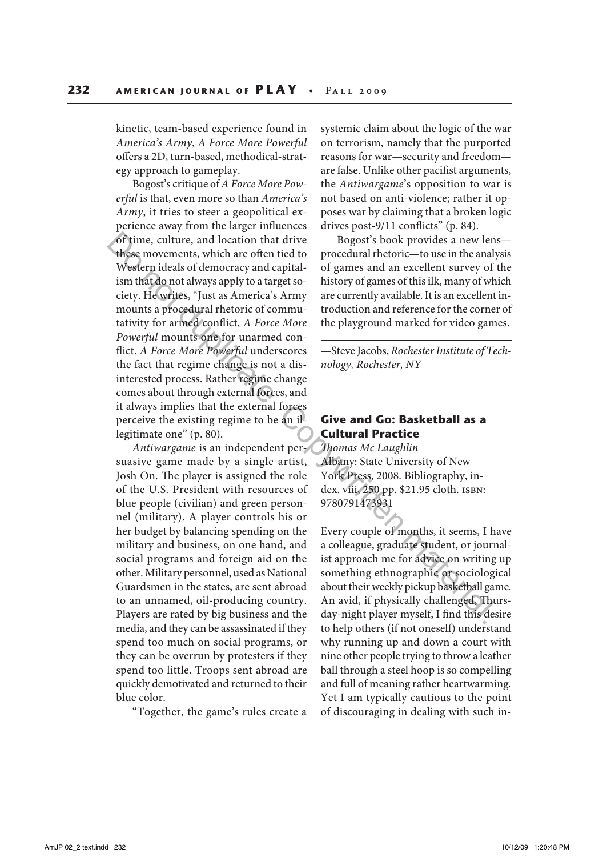kinetic, team-based experience found in *America's Army*, *A Force More Powerful* offers a 2D, turn-based, methodical-strategy approach to gameplay.

Bogost's critique of *A Force More Powerful* is that, even more so than *America's Army*, it tries to steer a geopolitical experience away from the larger influences of time, culture, and location that drive these movements, which are often tied to Western ideals of democracy and capitalism that do not always apply to a target society. He writes, "Just as America's Army mounts a procedural rhetoric of commutativity for armed conflict, *A Force More Powerful* mounts one for unarmed conflict. *A Force More Powerful* underscores the fact that regime change is not a disinterested process. Rather regime change comes about through external forces, and it always implies that the external forces perceive the existing regime to be an illegitimate one" (p. 80). of time, culture, and location that drive<br>
Weslem orenents, which are often tied to<br>
reconcerated to<br>
reconcerated to<br>
resolve in the and the street in the analysis weslem indeals of democracy and capital-<br>
of games and a

*Antiwargame* is an independent persuasive game made by a single artist, Josh On. The player is assigned the role of the U.S. President with resources of blue people (civilian) and green personnel (military). A player controls his or her budget by balancing spending on the military and business, on one hand, and social programs and foreign aid on the other. Military personnel, used as National Guardsmen in the states, are sent abroad to an unnamed, oil-producing country. Players are rated by big business and the media, and they can be assassinated if they spend too much on social programs, or they can be overrun by protesters if they spend too little. Troops sent abroad are quickly demotivated and returned to their blue color.

"Together, the game's rules create a

systemic claim about the logic of the war on terrorism, namely that the purported reasons for war—security and freedom are false. Unlike other pacifist arguments, the *Antiwargame*'s opposition to war is not based on anti-violence; rather it opposes war by claiming that a broken logic drives post-9/11 conflicts" (p. 84).

Bogost's book provides a new lens procedural rhetoric—to use in the analysis of games and an excellent survey of the history of games of this ilk, many of which are currently available. It is an excellent introduction and reference for the corner of the playground marked for video games.

—Steve Jacobs, *Rochester Institute of Technology, Rochester, NY*

## **Give and Go: Basketball as a Cultural Practice**

*Thomas Mc Laughlin* Albany: State University of New York Press, 2008. Bibliography, index. viii, 250 pp. \$21.95 cloth. isbn: 9780791473931

Every couple of months, it seems, I have a colleague, graduate student, or journalist approach me for advice on writing up something ethnographic or sociological about their weekly pickup basketball game. An avid, if physically challenged, Thursday-night player myself, I find this desire to help others (if not oneself) understand why running up and down a court with nine other people trying to throw a leather ball through a steel hoop is so compelling and full of meaning rather heartwarming. Yet I am typically cautious to the point of discouraging in dealing with such in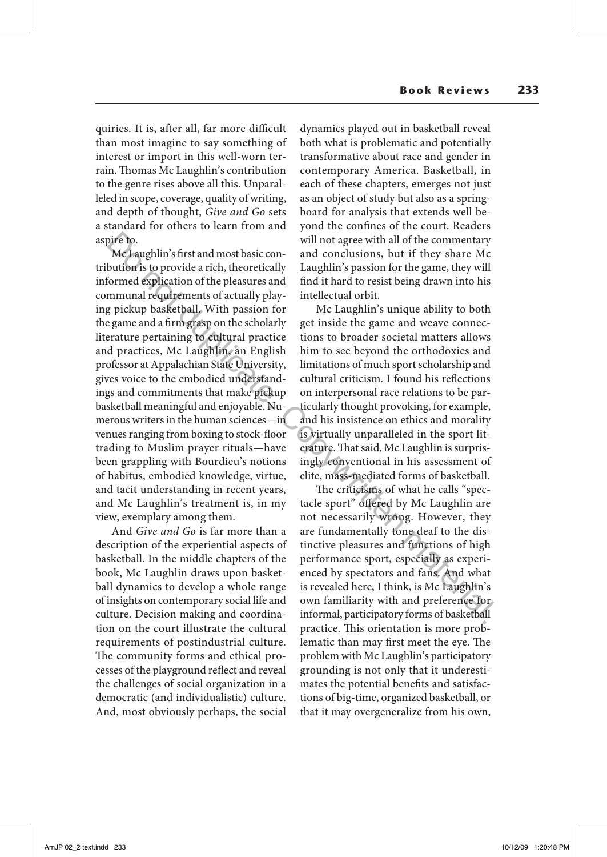quiries. It is, after all, far more difficult than most imagine to say something of interest or import in this well-worn terrain. Thomas Mc Laughlin's contribution to the genre rises above all this. Unparalleled in scope, coverage, quality of writing, and depth of thought, *Give and Go* sets a standard for others to learn from and aspire to.

Mc Laughlin's first and most basic contribution is to provide a rich, theoretically informed explication of the pleasures and communal requirements of actually playing pickup basketball. With passion for the game and a firm grasp on the scholarly literature pertaining to cultural practice and practices, Mc Laughlin, an English professor at Appalachian State University, gives voice to the embodied understandings and commitments that make pickup basketball meaningful and enjoyable. Numerous writers in the human sciences—in venues ranging from boxing to stock-floor trading to Muslim prayer rituals—have been grappling with Bourdieu's notions of habitus, embodied knowledge, virtue, and tacit understanding in recent years, and Mc Laughlin's treatment is, in my view, exemplary among them. will not agree with all of the commentary<br>
Melanghlin's first and most basic con-and conclusions, but if they share Mc<br>
bution's to provide a rich, theoretically Laughlin's passion for the game, they will<br>
formed explicat

And *Give and Go* is far more than a description of the experiential aspects of basketball. In the middle chapters of the book, Mc Laughlin draws upon basketball dynamics to develop a whole range of insights on contemporary social life and culture. Decision making and coordination on the court illustrate the cultural requirements of postindustrial culture. The community forms and ethical processes of the playground reflect and reveal the challenges of social organization in a democratic (and individualistic) culture. And, most obviously perhaps, the social dynamics played out in basketball reveal both what is problematic and potentially transformative about race and gender in contemporary America. Basketball, in each of these chapters, emerges not just as an object of study but also as a springboard for analysis that extends well beyond the confines of the court. Readers will not agree with all of the commentary and conclusions, but if they share Mc Laughlin's passion for the game, they will find it hard to resist being drawn into his intellectual orbit.

Mc Laughlin's unique ability to both get inside the game and weave connections to broader societal matters allows him to see beyond the orthodoxies and limitations of much sport scholarship and cultural criticism. I found his reflections on interpersonal race relations to be particularly thought provoking, for example, and his insistence on ethics and morality is virtually unparalleled in the sport literature. That said, Mc Laughlin is surprisingly conventional in his assessment of elite, mass-mediated forms of basketball.

The criticisms of what he calls "spectacle sport" offered by Mc Laughlin are not necessarily wrong. However, they are fundamentally tone deaf to the distinctive pleasures and functions of high performance sport, especially as experienced by spectators and fans. And what is revealed here, I think, is Mc Laughlin's own familiarity with and preference for informal, participatory forms of basketball practice. This orientation is more problematic than may first meet the eye. The problem with Mc Laughlin's participatory grounding is not only that it underestimates the potential benefits and satisfactions of big-time, organized basketball, or that it may overgeneralize from his own,